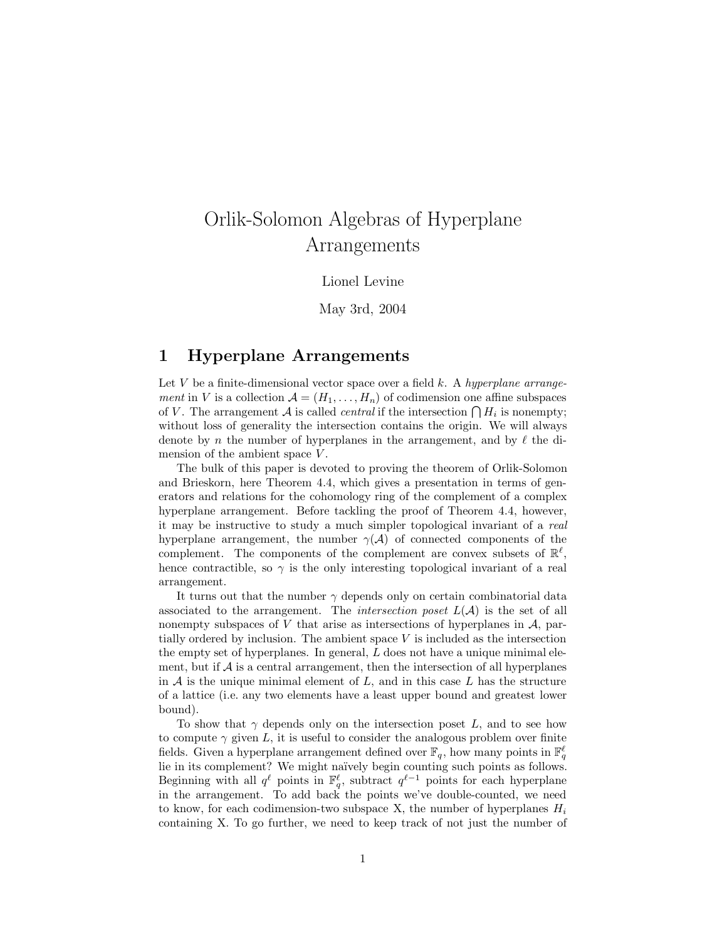# Orlik-Solomon Algebras of Hyperplane Arrangements

#### Lionel Levine

May 3rd, 2004

#### 1 Hyperplane Arrangements

Let  $V$  be a finite-dimensional vector space over a field  $k$ . A hyperplane arrange*ment* in V is a collection  $A = (H_1, \ldots, H_n)$  of codimension one affine subspaces of V. The arrangement A is called *central* if the intersection  $\bigcap H_i$  is nonempty; without loss of generality the intersection contains the origin. We will always denote by n the number of hyperplanes in the arrangement, and by  $\ell$  the dimension of the ambient space  $V$ .

The bulk of this paper is devoted to proving the theorem of Orlik-Solomon and Brieskorn, here Theorem 4.4, which gives a presentation in terms of generators and relations for the cohomology ring of the complement of a complex hyperplane arrangement. Before tackling the proof of Theorem 4.4, however, it may be instructive to study a much simpler topological invariant of a real hyperplane arrangement, the number  $\gamma(\mathcal{A})$  of connected components of the complement. The components of the complement are convex subsets of  $\mathbb{R}^{\ell}$ , hence contractible, so  $\gamma$  is the only interesting topological invariant of a real arrangement.

It turns out that the number  $\gamma$  depends only on certain combinatorial data associated to the arrangement. The *intersection poset*  $L(\mathcal{A})$  is the set of all nonempty subspaces of  $V$  that arise as intersections of hyperplanes in  $A$ , partially ordered by inclusion. The ambient space  $V$  is included as the intersection the empty set of hyperplanes. In general,  $L$  does not have a unique minimal element, but if  $\mathcal A$  is a central arrangement, then the intersection of all hyperplanes in  $A$  is the unique minimal element of  $L$ , and in this case  $L$  has the structure of a lattice (i.e. any two elements have a least upper bound and greatest lower bound).

To show that  $\gamma$  depends only on the intersection poset L, and to see how to compute  $\gamma$  given L, it is useful to consider the analogous problem over finite fields. Given a hyperplane arrangement defined over  $\mathbb{F}_q$ , how many points in  $\mathbb{F}_q^{\ell}$ lie in its complement? We might naïvely begin counting such points as follows. Beginning with all  $q^{\ell}$  points in  $\mathbb{F}_q^{\ell}$ , subtract  $q^{\ell-1}$  points for each hyperplane in the arrangement. To add back the points we've double-counted, we need to know, for each codimension-two subspace X, the number of hyperplanes  $H_i$ containing X. To go further, we need to keep track of not just the number of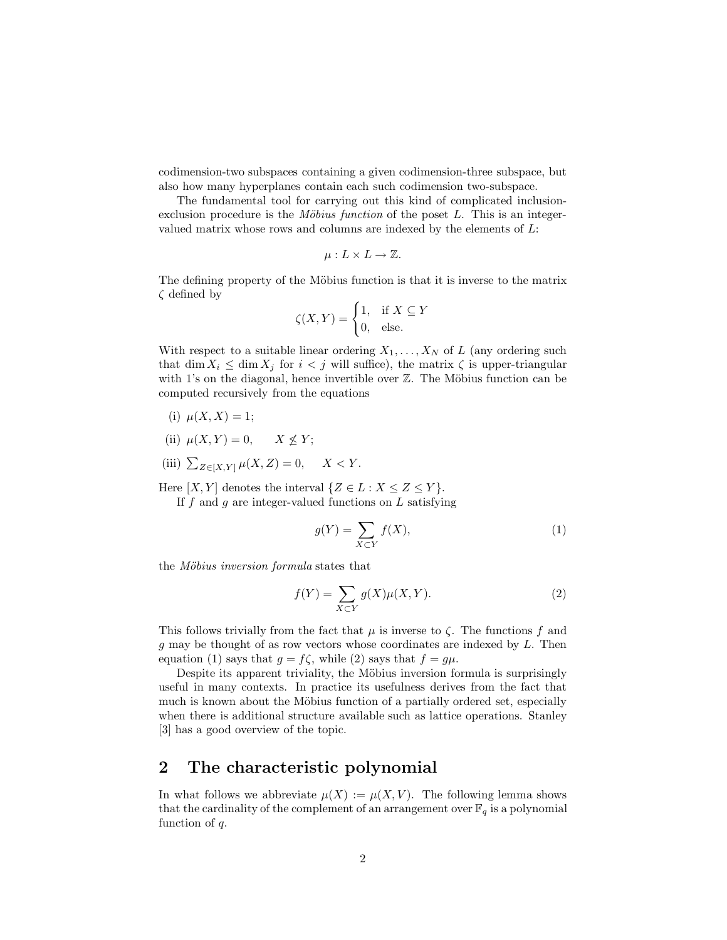codimension-two subspaces containing a given codimension-three subspace, but also how many hyperplanes contain each such codimension two-subspace.

The fundamental tool for carrying out this kind of complicated inclusionexclusion procedure is the *Möbius function* of the poset  $L$ . This is an integervalued matrix whose rows and columns are indexed by the elements of  $L$ :

$$
\mu: L \times L \to \mathbb{Z}.
$$

The defining property of the Möbius function is that it is inverse to the matrix ζ defined by

$$
\zeta(X,Y) = \begin{cases} 1, & \text{if } X \subseteq Y \\ 0, & \text{else.} \end{cases}
$$

With respect to a suitable linear ordering  $X_1, \ldots, X_N$  of L (any ordering such that dim  $X_i \leq \dim X_j$  for  $i < j$  will suffice), the matrix  $\zeta$  is upper-triangular with 1's on the diagonal, hence invertible over  $\mathbb Z$ . The Möbius function can be computed recursively from the equations

- (i)  $\mu(X, X) = 1;$
- (ii)  $\mu(X, Y) = 0, \quad X \not\leq Y;$
- (iii)  $\sum_{Z \in [X, Y]} \mu(X, Z) = 0, \quad X < Y.$

Here  $[X, Y]$  denotes the interval  $\{Z \in L : X \leq Z \leq Y\}.$ 

If  $f$  and  $g$  are integer-valued functions on  $L$  satisfying

$$
g(Y) = \sum_{X \subset Y} f(X),\tag{1}
$$

the Möbius inversion formula states that

$$
f(Y) = \sum_{X \subset Y} g(X)\mu(X, Y). \tag{2}
$$

This follows trivially from the fact that  $\mu$  is inverse to  $\zeta$ . The functions f and  $g$  may be thought of as row vectors whose coordinates are indexed by  $L$ . Then equation (1) says that  $g = f\zeta$ , while (2) says that  $f = g\mu$ .

Despite its apparent triviality, the Möbius inversion formula is surprisingly useful in many contexts. In practice its usefulness derives from the fact that much is known about the Möbius function of a partially ordered set, especially when there is additional structure available such as lattice operations. Stanley [3] has a good overview of the topic.

# 2 The characteristic polynomial

In what follows we abbreviate  $\mu(X) := \mu(X, V)$ . The following lemma shows that the cardinality of the complement of an arrangement over  $\mathbb{F}_q$  is a polynomial function of  $q$ .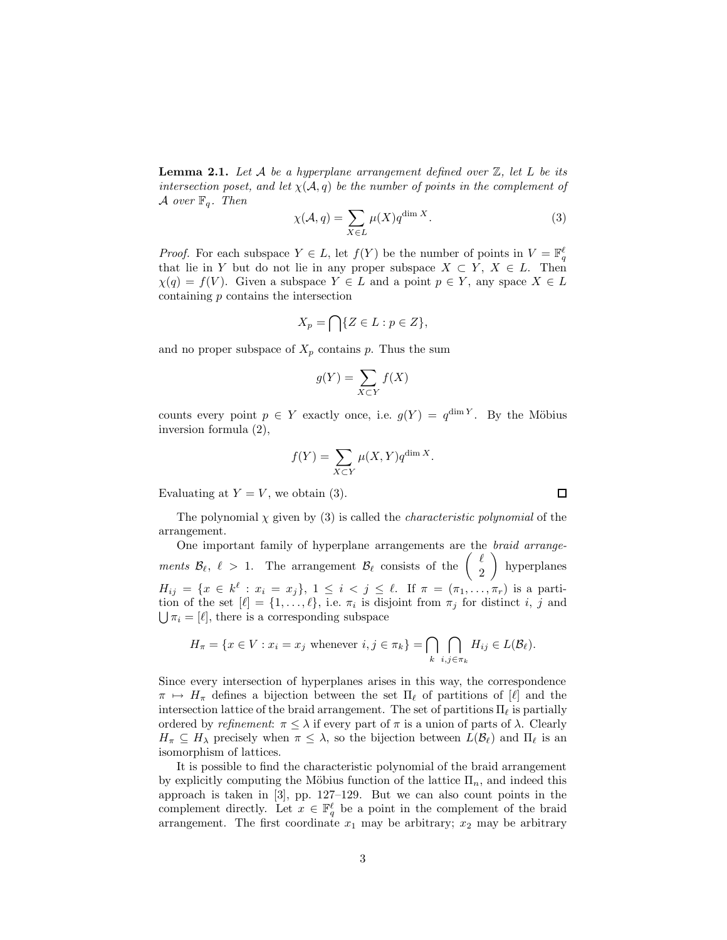**Lemma 2.1.** Let A be a hyperplane arrangement defined over  $\mathbb{Z}$ , let L be its intersection poset, and let  $\chi(A,q)$  be the number of points in the complement of A over  $\mathbb{F}_q$ . Then

$$
\chi(\mathcal{A}, q) = \sum_{X \in L} \mu(X) q^{\dim X}.
$$
 (3)

*Proof.* For each subspace  $Y \in L$ , let  $f(Y)$  be the number of points in  $V = \mathbb{F}_q^{\ell}$ that lie in Y but do not lie in any proper subspace  $X \subset Y$ ,  $X \in L$ . Then  $\chi(q) = f(V)$ . Given a subspace  $Y \in L$  and a point  $p \in Y$ , any space  $X \in L$ containing p contains the intersection

$$
X_p = \bigcap \{ Z \in L : p \in Z \},\
$$

and no proper subspace of  $X_p$  contains p. Thus the sum

$$
g(Y) = \sum_{X \subset Y} f(X)
$$

counts every point  $p \in Y$  exactly once, i.e.  $g(Y) = q^{\dim Y}$ . By the Möbius inversion formula (2),

$$
f(Y) = \sum_{X \subset Y} \mu(X, Y) q^{\dim X}.
$$

Evaluating at  $Y = V$ , we obtain (3).

The polynomial  $\chi$  given by (3) is called the *characteristic polynomial* of the arrangement.

One important family of hyperplane arrangements are the braid arrangements  $\mathcal{B}_{\ell}$ ,  $\ell > 1$ . The arrangement  $\mathcal{B}_{\ell}$  consists of the  $\begin{pmatrix} \ell \\ 2 \end{pmatrix}$ 2  $\overline{\phantom{0}}$ hyperplanes  $H_{ij} = \{x \in k^{\ell} : x_i = x_j\}, 1 \leq i < j \leq \ell$ . If  $\pi = (\pi_1, \ldots, \pi_r)$  is a partition of the set  $[\ell] = \{1, \ldots, \ell\}$ , i.e.  $\pi_i$  is disjoint from  $\pi_j$  for distinct i, j and  $\bigcup \pi_i = [\ell],$  there is a corresponding subspace

$$
H_{\pi} = \{ x \in V : x_i = x_j \text{ whenever } i, j \in \pi_k \} = \bigcap_{k} \bigcap_{i, j \in \pi_k} H_{ij} \in L(\mathcal{B}_{\ell}).
$$

Since every intersection of hyperplanes arises in this way, the correspondence  $\pi \mapsto H_{\pi}$  defines a bijection between the set  $\Pi_{\ell}$  of partitions of  $[\ell]$  and the intersection lattice of the braid arrangement. The set of partitions  $\Pi_{\ell}$  is partially ordered by *refinement*:  $\pi \leq \lambda$  if every part of  $\pi$  is a union of parts of  $\lambda$ . Clearly  $H_{\pi} \subseteq H_{\lambda}$  precisely when  $\pi \leq \lambda$ , so the bijection between  $L(\mathcal{B}_{\ell})$  and  $\Pi_{\ell}$  is an isomorphism of lattices.

It is possible to find the characteristic polynomial of the braid arrangement by explicitly computing the Möbius function of the lattice  $\Pi_n$ , and indeed this approach is taken in [3], pp. 127–129. But we can also count points in the complement directly. Let  $x \in \mathbb{F}_q^{\ell}$  be a point in the complement of the braid arrangement. The first coordinate  $x_1$  may be arbitrary;  $x_2$  may be arbitrary

 $\Box$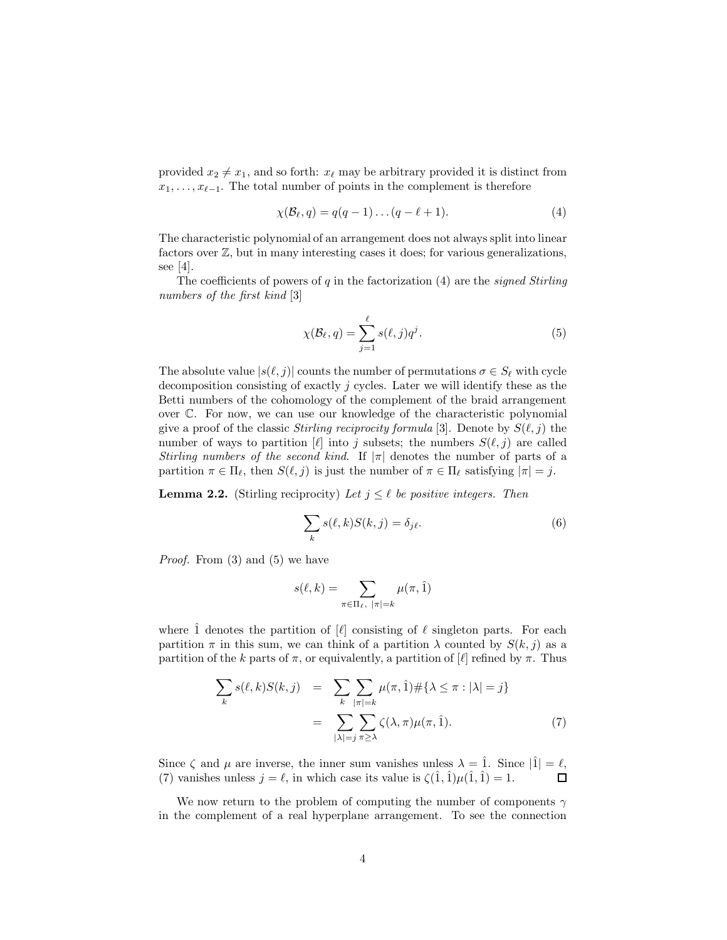provided  $x_2 \neq x_1$ , and so forth:  $x_\ell$  may be arbitrary provided it is distinct from  $x_1, \ldots, x_{\ell-1}$ . The total number of points in the complement is therefore

$$
\chi(\mathcal{B}_{\ell}, q) = q(q-1)\dots(q-\ell+1). \tag{4}
$$

The characteristic polynomial of an arrangement does not always split into linear factors over  $\mathbb{Z}$ , but in many interesting cases it does; for various generalizations, see [4].

The coefficients of powers of  $q$  in the factorization  $(4)$  are the *signed Stirling* numbers of the first kind [3]

$$
\chi(\mathcal{B}_{\ell}, q) = \sum_{j=1}^{\ell} s(\ell, j) q^{j}.
$$
\n(5)

The absolute value  $|s(\ell, j)|$  counts the number of permutations  $\sigma \in S_{\ell}$  with cycle decomposition consisting of exactly j cycles. Later we will identify these as the Betti numbers of the cohomology of the complement of the braid arrangement over C. For now, we can use our knowledge of the characteristic polynomial give a proof of the classic *Stirling reciprocity formula* [3]. Denote by  $S(\ell, j)$  the number of ways to partition [ $\ell$ ] into j subsets; the numbers  $S(\ell, j)$  are called Stirling numbers of the second kind. If  $|\pi|$  denotes the number of parts of a partition  $\pi \in \Pi_{\ell}$ , then  $S(\ell, j)$  is just the number of  $\pi \in \Pi_{\ell}$  satisfying  $|\pi| = j$ .

**Lemma 2.2.** (Stirling reciprocity) Let  $j \leq \ell$  be positive integers. Then

$$
\sum_{k} s(\ell, k) S(k, j) = \delta_{j\ell}.
$$
\n(6)

Proof. From (3) and (5) we have

$$
s(\ell,k)=\sum_{\pi\in\Pi_\ell,\;|\pi|=k}\mu(\pi,\hat{1})
$$

where  $\hat{1}$  denotes the partition of  $\ell$  consisting of  $\ell$  singleton parts. For each partition  $\pi$  in this sum, we can think of a partition  $\lambda$  counted by  $S(k, j)$  as a partition of the k parts of  $\pi$ , or equivalently, a partition of [ $\ell$ ] refined by  $\pi$ . Thus

$$
\sum_{k} s(\ell, k) S(k, j) = \sum_{k} \sum_{|\pi| = k} \mu(\pi, \hat{1}) \# \{ \lambda \le \pi : |\lambda| = j \}
$$

$$
= \sum_{|\lambda| = j} \sum_{\pi \ge \lambda} \zeta(\lambda, \pi) \mu(\pi, \hat{1}). \tag{7}
$$

Since  $\zeta$  and  $\mu$  are inverse, the inner sum vanishes unless  $\lambda = \hat{1}$ . Since  $|\hat{1}| = \ell$ , (7) vanishes unless  $j = \ell$ , in which case its value is  $\zeta(1,1)\mu(1,1) = 1$ .  $\Box$ 

We now return to the problem of computing the number of components  $\gamma$ in the complement of a real hyperplane arrangement. To see the connection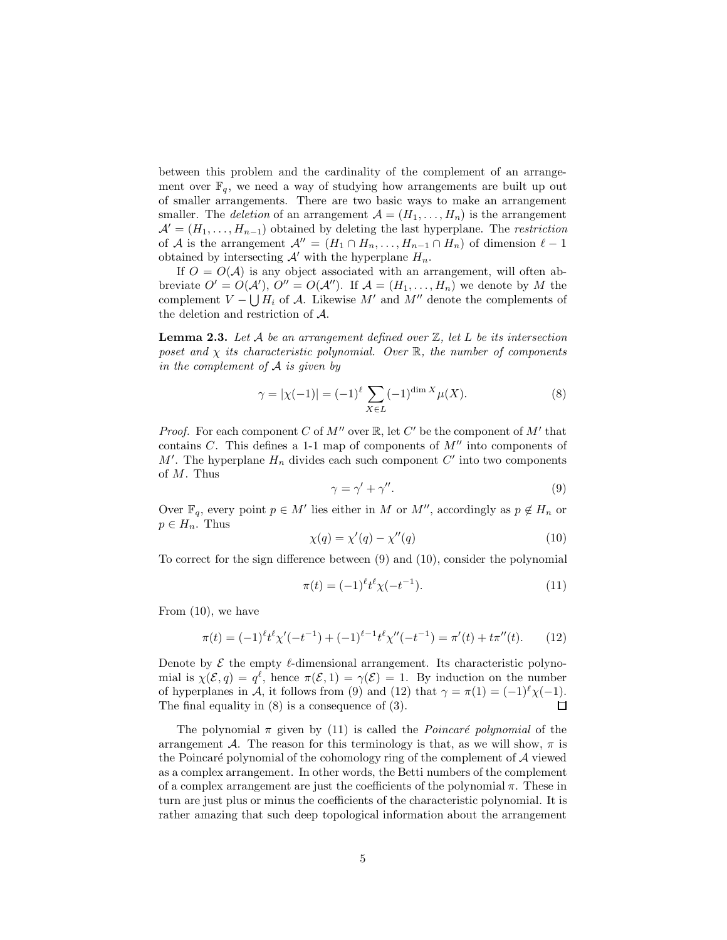between this problem and the cardinality of the complement of an arrangement over  $\mathbb{F}_q$ , we need a way of studying how arrangements are built up out of smaller arrangements. There are two basic ways to make an arrangement smaller. The *deletion* of an arrangement  $\mathcal{A} = (H_1, \ldots, H_n)$  is the arrangement  $A' = (H_1, \ldots, H_{n-1})$  obtained by deleting the last hyperplane. The restriction of A is the arrangement  $\mathcal{A}'' = (H_1 \cap H_n, \ldots, H_{n-1} \cap H_n)$  of dimension  $\ell - 1$ obtained by intersecting  $A'$  with the hyperplane  $H_n$ .

If  $O = O(\mathcal{A})$  is any object associated with an arrangement, will often abbreviate  $O' = O(\mathcal{A}')$ ,  $O'' = O(\mathcal{A}'')$ . If  $\mathcal{A} = (H_1, \ldots, H_n)$  we denote by M the complement  $V - \bigcup H_i$  of A. Likewise M' and M'' denote the complements of the deletion and restriction of A.

**Lemma 2.3.** Let  $A$  be an arrangement defined over  $\mathbb{Z}$ , let  $L$  be its intersection poset and  $\chi$  its characteristic polynomial. Over  $\mathbb{R}$ , the number of components in the complement of  $A$  is given by

$$
\gamma = |\chi(-1)| = (-1)^{\ell} \sum_{X \in L} (-1)^{\dim X} \mu(X).
$$
 (8)

*Proof.* For each component C of  $M''$  over  $\mathbb{R}$ , let C' be the component of  $M'$  that contains  $C$ . This defines a 1-1 map of components of  $M''$  into components of  $M'$ . The hyperplane  $H_n$  divides each such component  $C'$  into two components of M. Thus

$$
\gamma = \gamma' + \gamma''.
$$
\n(9)

Over  $\mathbb{F}_q$ , every point  $p \in M'$  lies either in M or M'', accordingly as  $p \notin H_n$  or  $p \in H_n$ . Thus

$$
\chi(q) = \chi'(q) - \chi''(q) \tag{10}
$$

To correct for the sign difference between (9) and (10), consider the polynomial

$$
\pi(t) = (-1)^{\ell} t^{\ell} \chi(-t^{-1}).\tag{11}
$$

From (10), we have

$$
\pi(t) = (-1)^{\ell} t^{\ell} \chi'(-t^{-1}) + (-1)^{\ell-1} t^{\ell} \chi''(-t^{-1}) = \pi'(t) + t\pi''(t). \tag{12}
$$

Denote by  $\mathcal E$  the empty  $\ell$ -dimensional arrangement. Its characteristic polynomial is  $\chi(\mathcal{E}, q) = q^{\ell}$ , hence  $\pi(\mathcal{E}, 1) = \gamma(\mathcal{E}) = 1$ . By induction on the number of hyperplanes in A, it follows from (9) and (12) that  $\gamma = \pi(1) = (-1)^{\ell} \chi(-1)$ . The final equality in (8) is a consequence of (3).  $\Box$ 

The polynomial  $\pi$  given by (11) is called the *Poincaré polynomial* of the arrangement A. The reason for this terminology is that, as we will show,  $\pi$  is the Poincaré polynomial of the cohomology ring of the complement of  $A$  viewed as a complex arrangement. In other words, the Betti numbers of the complement of a complex arrangement are just the coefficients of the polynomial  $\pi$ . These in turn are just plus or minus the coefficients of the characteristic polynomial. It is rather amazing that such deep topological information about the arrangement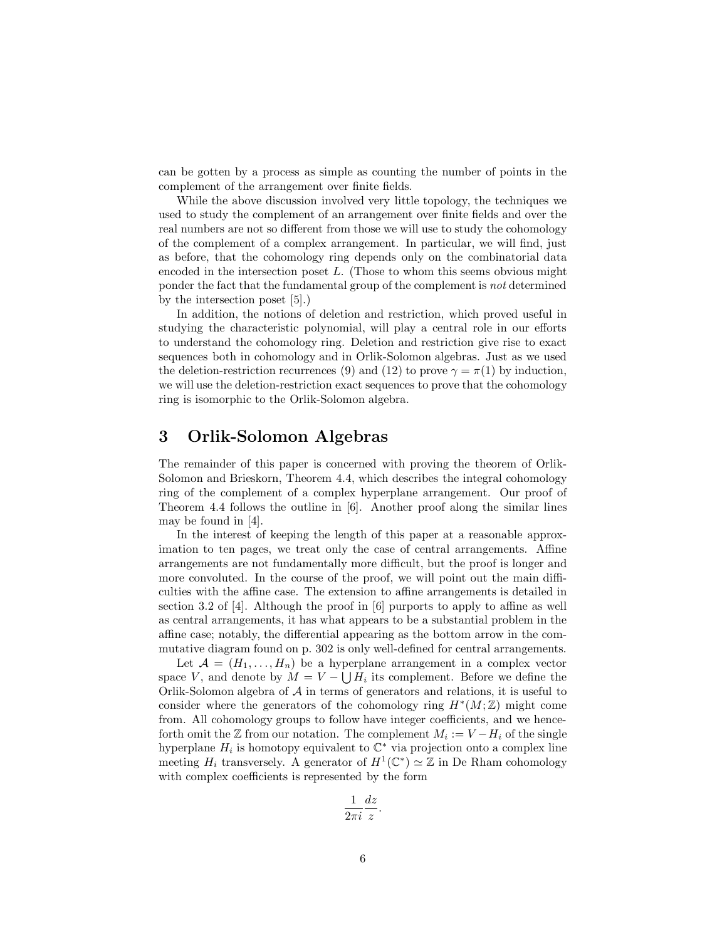can be gotten by a process as simple as counting the number of points in the complement of the arrangement over finite fields.

While the above discussion involved very little topology, the techniques we used to study the complement of an arrangement over finite fields and over the real numbers are not so different from those we will use to study the cohomology of the complement of a complex arrangement. In particular, we will find, just as before, that the cohomology ring depends only on the combinatorial data encoded in the intersection poset  $L$ . (Those to whom this seems obvious might ponder the fact that the fundamental group of the complement is not determined by the intersection poset [5].)

In addition, the notions of deletion and restriction, which proved useful in studying the characteristic polynomial, will play a central role in our efforts to understand the cohomology ring. Deletion and restriction give rise to exact sequences both in cohomology and in Orlik-Solomon algebras. Just as we used the deletion-restriction recurrences (9) and (12) to prove  $\gamma = \pi(1)$  by induction, we will use the deletion-restriction exact sequences to prove that the cohomology ring is isomorphic to the Orlik-Solomon algebra.

### 3 Orlik-Solomon Algebras

The remainder of this paper is concerned with proving the theorem of Orlik-Solomon and Brieskorn, Theorem 4.4, which describes the integral cohomology ring of the complement of a complex hyperplane arrangement. Our proof of Theorem 4.4 follows the outline in [6]. Another proof along the similar lines may be found in [4].

In the interest of keeping the length of this paper at a reasonable approximation to ten pages, we treat only the case of central arrangements. Affine arrangements are not fundamentally more difficult, but the proof is longer and more convoluted. In the course of the proof, we will point out the main difficulties with the affine case. The extension to affine arrangements is detailed in section 3.2 of [4]. Although the proof in [6] purports to apply to affine as well as central arrangements, it has what appears to be a substantial problem in the affine case; notably, the differential appearing as the bottom arrow in the commutative diagram found on p. 302 is only well-defined for central arrangements.

Let  $\mathcal{A} = (H_1, \ldots, H_n)$  be a hyperplane arrangement in a complex vector space V, and denote by  $M = V - \bigcup H_i$  its complement. Before we define the Orlik-Solomon algebra of A in terms of generators and relations, it is useful to consider where the generators of the cohomology ring  $H^*(M;\mathbb{Z})$  might come from. All cohomology groups to follow have integer coefficients, and we henceforth omit the  $\mathbb Z$  from our notation. The complement  $M_i := V - H_i$  of the single hyperplane  $H_i$  is homotopy equivalent to  $\mathbb{C}^*$  via projection onto a complex line meeting  $H_i$  transversely. A generator of  $H^1(\mathbb{C}^*) \simeq \mathbb{Z}$  in De Rham cohomology with complex coefficients is represented by the form

$$
\frac{1}{2\pi i} \frac{dz}{z}.
$$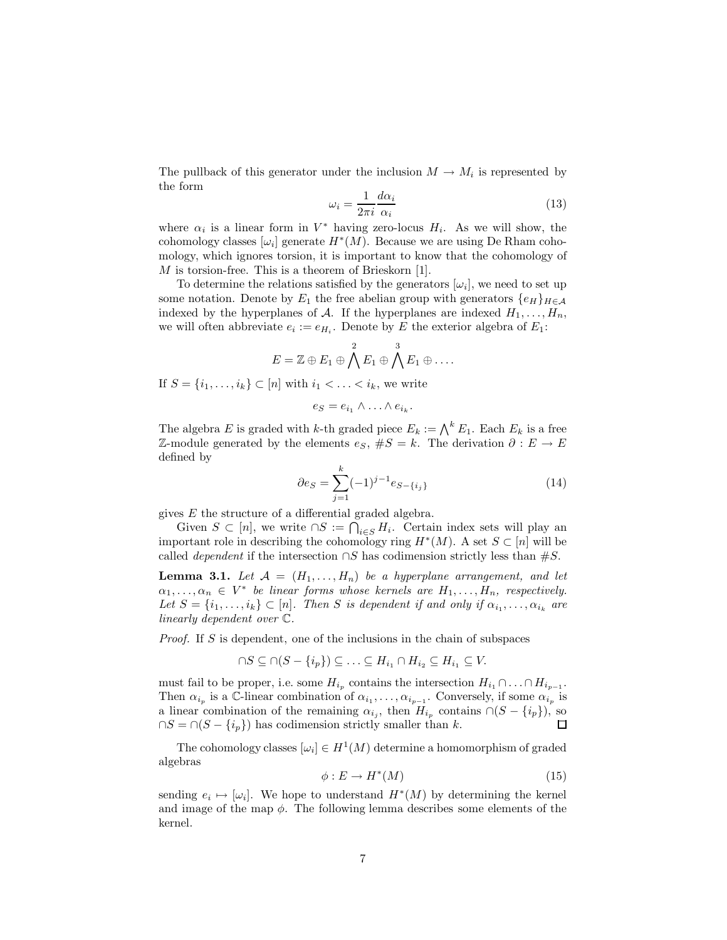The pullback of this generator under the inclusion  $M \to M_i$  is represented by the form

$$
\omega_i = \frac{1}{2\pi i} \frac{d\alpha_i}{\alpha_i} \tag{13}
$$

where  $\alpha_i$  is a linear form in  $V^*$  having zero-locus  $H_i$ . As we will show, the cohomology classes  $[\omega_i]$  generate  $H^*(M)$ . Because we are using De Rham cohomology, which ignores torsion, it is important to know that the cohomology of M is torsion-free. This is a theorem of Brieskorn [1].

To determine the relations satisfied by the generators  $[\omega_i]$ , we need to set up some notation. Denote by  $E_1$  the free abelian group with generators  $\{e_H\}_{H \in \mathcal{A}}$ indexed by the hyperplanes of A. If the hyperplanes are indexed  $H_1, \ldots, H_n$ , we will often abbreviate  $e_i := e_{H_i}$ . Denote by E the exterior algebra of  $E_1$ :

$$
E=\mathbb{Z}\oplus E_1\oplus \bigwedge^2 E_1\oplus \bigwedge^3 E_1\oplus \ldots.
$$

If  $S = \{i_1, \ldots, i_k\} \subset [n]$  with  $i_1 < \ldots < i_k$ , we write

$$
e_S = e_{i_1} \wedge \ldots \wedge e_{i_k}.
$$

The algebra E is graded with k-th graded piece  $E_k := \bigwedge^k E_1$ . Each  $E_k$  is a free Z-module generated by the elements  $e_S$ ,  $#S = k$ . The derivation  $\partial : E \to E$ defined by

$$
\partial e_S = \sum_{j=1}^k (-1)^{j-1} e_{S - \{i_j\}} \tag{14}
$$

gives E the structure of a differential graded algebra.

Given  $S \subset [n]$ , we write  $\cap S := \bigcap_{i \in S} H_i$ . Certain index sets will play an important role in describing the cohomology ring  $H^*(M)$ . A set  $S \subset [n]$  will be called *dependent* if the intersection ∩S has codimension strictly less than  $#S$ .

**Lemma 3.1.** Let  $A = (H_1, \ldots, H_n)$  be a hyperplane arrangement, and let  $\alpha_1, \ldots, \alpha_n \in V^*$  be linear forms whose kernels are  $H_1, \ldots, H_n$ , respectively. Let  $S = \{i_1, \ldots, i_k\} \subset [n]$ . Then S is dependent if and only if  $\alpha_{i_1}, \ldots, \alpha_{i_k}$  are linearly dependent over C.

Proof. If S is dependent, one of the inclusions in the chain of subspaces

$$
\cap S \subseteq \cap (S - \{i_p\}) \subseteq \ldots \subseteq H_{i_1} \cap H_{i_2} \subseteq H_{i_1} \subseteq V.
$$

must fail to be proper, i.e. some  $H_{i_p}$  contains the intersection  $H_{i_1} \cap \ldots \cap H_{i_{p-1}}$ . Then  $\alpha_{i_p}$  is a C-linear combination of  $\alpha_{i_1}, \ldots, \alpha_{i_{p-1}}$ . Conversely, if some  $\alpha_{i_p}$  is a linear combination of the remaining  $\alpha_{i_j}$ , then  $H_{i_p}$  contains  $\cap (S - \{i_p\})$ , so  $\cap S = \cap (S - \{i_p\})$  has codimension strictly smaller than k.  $\Box$ 

The cohomology classes  $[\omega_i] \in H^1(M)$  determine a homomorphism of graded algebras

$$
\phi: E \to H^*(M) \tag{15}
$$

sending  $e_i \mapsto [\omega_i]$ . We hope to understand  $H^*(M)$  by determining the kernel and image of the map  $\phi$ . The following lemma describes some elements of the kernel.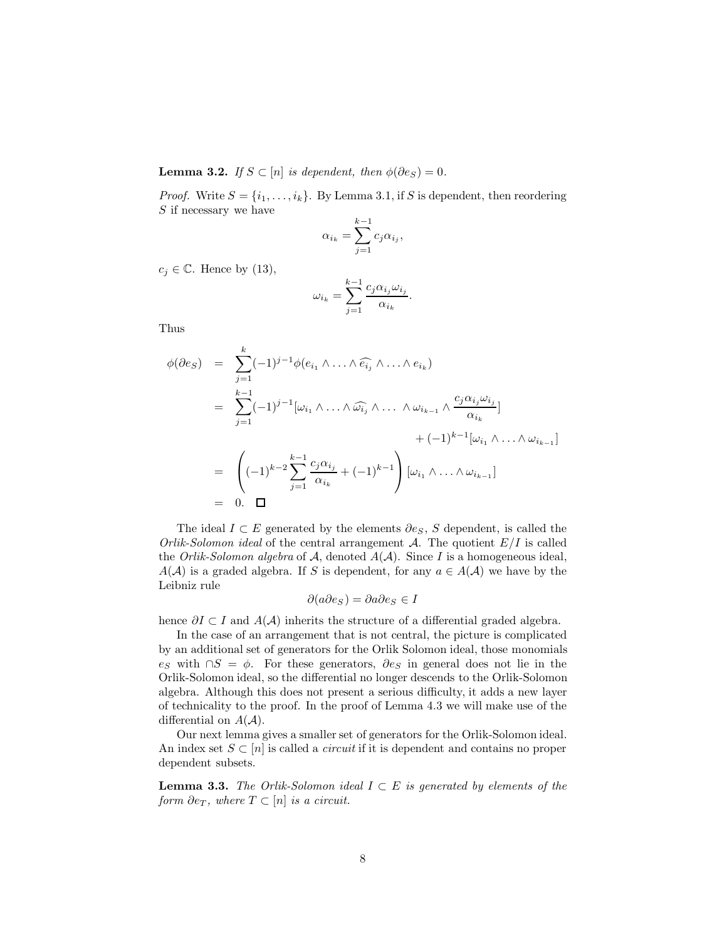**Lemma 3.2.** If  $S \subset [n]$  is dependent, then  $\phi(\partial e_S) = 0$ .

*Proof.* Write  $S = \{i_1, \ldots, i_k\}$ . By Lemma 3.1, if S is dependent, then reordering S if necessary we have

$$
\alpha_{i_k} = \sum_{j=1}^{k-1} c_j \alpha_{i_j},
$$

 $c_i \in \mathbb{C}$ . Hence by (13),

$$
\omega_{i_k} = \sum_{j=1}^{k-1} \frac{c_j \alpha_{i_j} \omega_{i_j}}{\alpha_{i_k}}.
$$

Thus

$$
\begin{aligned}\n\phi(\partial e_S) &= \sum_{j=1}^k (-1)^{j-1} \phi(e_{i_1} \wedge \ldots \wedge \widehat{e_{i_j}} \wedge \ldots \wedge e_{i_k}) \\
&= \sum_{j=1}^{k-1} (-1)^{j-1} [\omega_{i_1} \wedge \ldots \wedge \widehat{\omega_{i_j}} \wedge \ldots \wedge \omega_{i_{k-1}} \wedge \frac{c_j \alpha_{i_j} \omega_{i_j}}{\alpha_{i_k}}] \\
&= \left( (-1)^{k-2} \sum_{j=1}^{k-1} \frac{c_j \alpha_{i_j}}{\alpha_{i_k}} + (-1)^{k-1} \right) [\omega_{i_1} \wedge \ldots \wedge \omega_{i_{k-1}}] \\
&= 0. \quad \Box\n\end{aligned}
$$

The ideal  $I \subset E$  generated by the elements  $\partial e_S$ , S dependent, is called the Orlik-Solomon ideal of the central arrangement  $A$ . The quotient  $E/I$  is called the *Orlik-Solomon algebra* of A, denoted  $A(A)$ . Since I is a homogeneous ideal,  $A(\mathcal{A})$  is a graded algebra. If S is dependent, for any  $a \in A(\mathcal{A})$  we have by the Leibniz rule

$$
\partial(a\partial e_S) = \partial a \partial e_S \in I
$$

hence  $\partial I \subset I$  and  $A(A)$  inherits the structure of a differential graded algebra.

In the case of an arrangement that is not central, the picture is complicated by an additional set of generators for the Orlik Solomon ideal, those monomials es with  $\cap S = \phi$ . For these generators,  $\partial e_S$  in general does not lie in the Orlik-Solomon ideal, so the differential no longer descends to the Orlik-Solomon algebra. Although this does not present a serious difficulty, it adds a new layer of technicality to the proof. In the proof of Lemma 4.3 we will make use of the differential on  $A(A)$ .

Our next lemma gives a smaller set of generators for the Orlik-Solomon ideal. An index set  $S \subset [n]$  is called a *circuit* if it is dependent and contains no proper dependent subsets.

**Lemma 3.3.** The Orlik-Solomon ideal  $I \subset E$  is generated by elements of the form  $\partial e_T$ , where  $T \subset [n]$  is a circuit.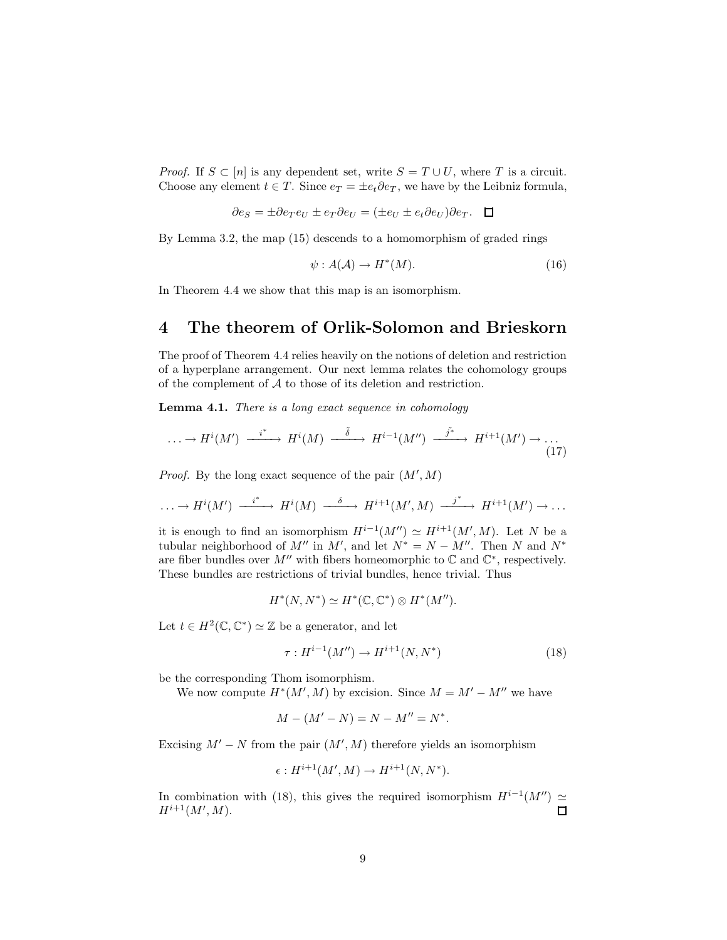*Proof.* If  $S \subset [n]$  is any dependent set, write  $S = T \cup U$ , where T is a circuit. Choose any element  $t \in T$ . Since  $e_T = \pm e_t \partial e_T$ , we have by the Leibniz formula,

$$
\partial e_S = \pm \partial e_T e_U \pm e_T \partial e_U = (\pm e_U \pm e_t \partial e_U) \partial e_T. \quad \Box
$$

By Lemma 3.2, the map (15) descends to a homomorphism of graded rings

$$
\psi: A(\mathcal{A}) \to H^*(M). \tag{16}
$$

In Theorem 4.4 we show that this map is an isomorphism.

#### 4 The theorem of Orlik-Solomon and Brieskorn

The proof of Theorem 4.4 relies heavily on the notions of deletion and restriction of a hyperplane arrangement. Our next lemma relates the cohomology groups of the complement of A to those of its deletion and restriction.

Lemma 4.1. There is a long exact sequence in cohomology

$$
\ldots \to H^{i}(M') \xrightarrow{i^{*}} H^{i}(M) \xrightarrow{\tilde{\delta}} H^{i-1}(M'') \xrightarrow{j^{*}} H^{i+1}(M') \to \ldots
$$
\n(17)

*Proof.* By the long exact sequence of the pair  $(M', M)$ 

$$
\ldots \to H^{i}(M') \xrightarrow{i^{*}} H^{i}(M) \xrightarrow{\delta} H^{i+1}(M',M) \xrightarrow{j^{*}} H^{i+1}(M') \to \ldots
$$

it is enough to find an isomorphism  $H^{i-1}(M'') \simeq H^{i+1}(M',M)$ . Let N be a tubular neighborhood of  $M''$  in  $M'$ , and let  $N^* = N - M''$ . Then N and  $N^*$ are fiber bundles over  $M''$  with fibers homeomorphic to  $\mathbb C$  and  $\mathbb C^*$ , respectively. These bundles are restrictions of trivial bundles, hence trivial. Thus

$$
H^*(N, N^*) \simeq H^*(\mathbb{C}, \mathbb{C}^*) \otimes H^*(M'').
$$

Let  $t \in H^2(\mathbb{C}, \mathbb{C}^*) \simeq \mathbb{Z}$  be a generator, and let

$$
\tau: H^{i-1}(M'') \to H^{i+1}(N, N^*)
$$
\n(18)

be the corresponding Thom isomorphism.

We now compute  $H^*(M', M)$  by excision. Since  $M = M' - M''$  we have

$$
M - (M' - N) = N - M'' = N^*.
$$

Excising  $M' - N$  from the pair  $(M', M)$  therefore yields an isomorphism

$$
\epsilon: H^{i+1}(M',M) \to H^{i+1}(N,N^*).
$$

In combination with (18), this gives the required isomorphism  $H^{i-1}(M'') \simeq$  $H^{i+1}(M',M).$  $\Box$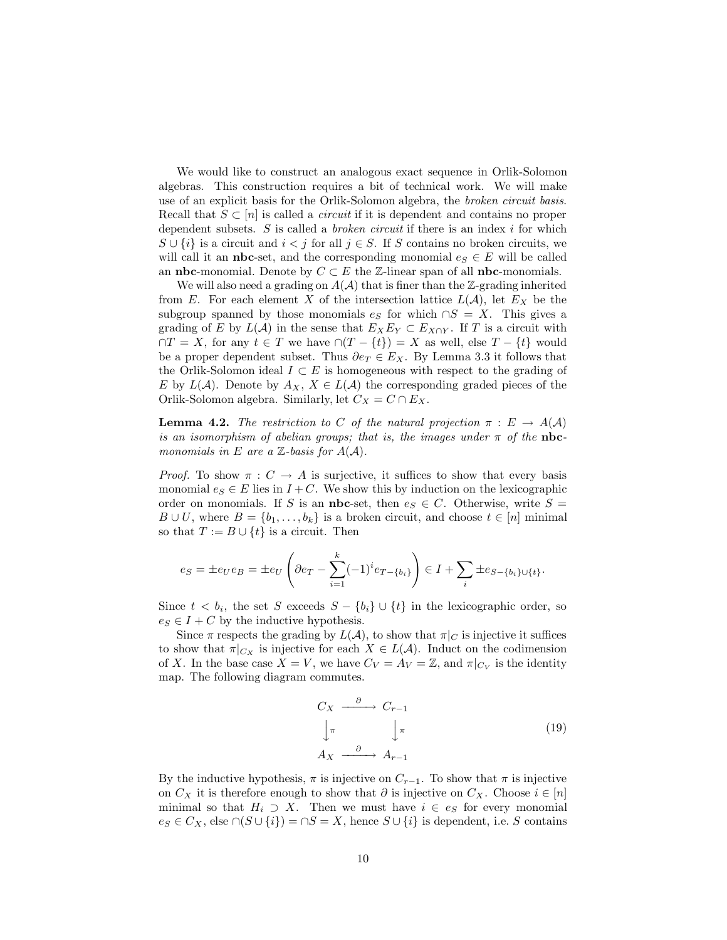We would like to construct an analogous exact sequence in Orlik-Solomon algebras. This construction requires a bit of technical work. We will make use of an explicit basis for the Orlik-Solomon algebra, the broken circuit basis. Recall that  $S \subset [n]$  is called a *circuit* if it is dependent and contains no proper dependent subsets. S is called a *broken circuit* if there is an index  $i$  for which  $S \cup \{i\}$  is a circuit and  $i < j$  for all  $j \in S$ . If S contains no broken circuits, we will call it an **nbc**-set, and the corresponding monomial  $e_S \in E$  will be called an nbc-monomial. Denote by  $C \subset E$  the Z-linear span of all nbc-monomials.

We will also need a grading on  $A(\mathcal{A})$  that is finer than the Z-grading inherited from E. For each element X of the intersection lattice  $L(\mathcal{A})$ , let  $E_X$  be the subgroup spanned by those monomials  $e_S$  for which ∩ $S = X$ . This gives a grading of E by  $L(\mathcal{A})$  in the sense that  $E_X E_Y \subset E_{X\cap Y}$ . If T is a circuit with ∩ $T = X$ , for any  $t \in T$  we have  $∩(T - \{t\}) = X$  as well, else  $T - \{t\}$  would be a proper dependent subset. Thus  $\partial e_T \in E_X$ . By Lemma 3.3 it follows that the Orlik-Solomon ideal  $I \subset E$  is homogeneous with respect to the grading of E by  $L(\mathcal{A})$ . Denote by  $A_X$ ,  $X \in L(\mathcal{A})$  the corresponding graded pieces of the Orlik-Solomon algebra. Similarly, let  $C_X = C \cap E_X$ .

**Lemma 4.2.** The restriction to C of the natural projection  $\pi : E \to A(A)$ is an isomorphism of abelian groups; that is, the images under  $\pi$  of the nbcmonomials in E are a  $\mathbb{Z}$ -basis for  $A(\mathcal{A})$ .

*Proof.* To show  $\pi$  :  $C \rightarrow A$  is surjective, it suffices to show that every basis monomial  $e_S \in E$  lies in  $I + C$ . We show this by induction on the lexicographic order on monomials. If S is an **nbc**-set, then  $e_S \in C$ . Otherwise, write  $S =$  $B \cup U$ , where  $B = \{b_1, \ldots, b_k\}$  is a broken circuit, and choose  $t \in [n]$  minimal so that  $T := B \cup \{t\}$  is a circuit. Then

$$
e_S = \pm e_U e_B = \pm e_U \left( \partial e_T - \sum_{i=1}^k (-1)^i e_{T-i} b_i \right) \in I + \sum_i \pm e_{S-i} b_i \cup \{t\}.
$$

Since  $t < b_i$ , the set S exceeds  $S - \{b_i\} \cup \{t\}$  in the lexicographic order, so  $e_S \in I + C$  by the inductive hypothesis.

Since  $\pi$  respects the grading by  $L(\mathcal{A})$ , to show that  $\pi|_C$  is injective it suffices to show that  $\pi|_{C_X}$  is injective for each  $X \in L(\mathcal{A})$ . Induct on the codimension of X. In the base case  $X = V$ , we have  $C_V = A_V = \mathbb{Z}$ , and  $\pi|_{C_V}$  is the identity map. The following diagram commutes.

$$
C_X \xrightarrow{\partial} C_{r-1}
$$
  
\n
$$
\downarrow \pi \qquad \qquad \downarrow \pi
$$
  
\n
$$
A_X \xrightarrow{\partial} A_{r-1}
$$
 (19)

By the inductive hypothesis,  $\pi$  is injective on  $C_{r-1}$ . To show that  $\pi$  is injective on  $C_X$  it is therefore enough to show that  $\partial$  is injective on  $C_X$ . Choose  $i \in [n]$ minimal so that  $H_i \supset X$ . Then we must have  $i \in e_S$  for every monomial  $e_S \in C_X$ , else  $\cap (S \cup \{i\}) = \cap S = X$ , hence  $S \cup \{i\}$  is dependent, i.e. S contains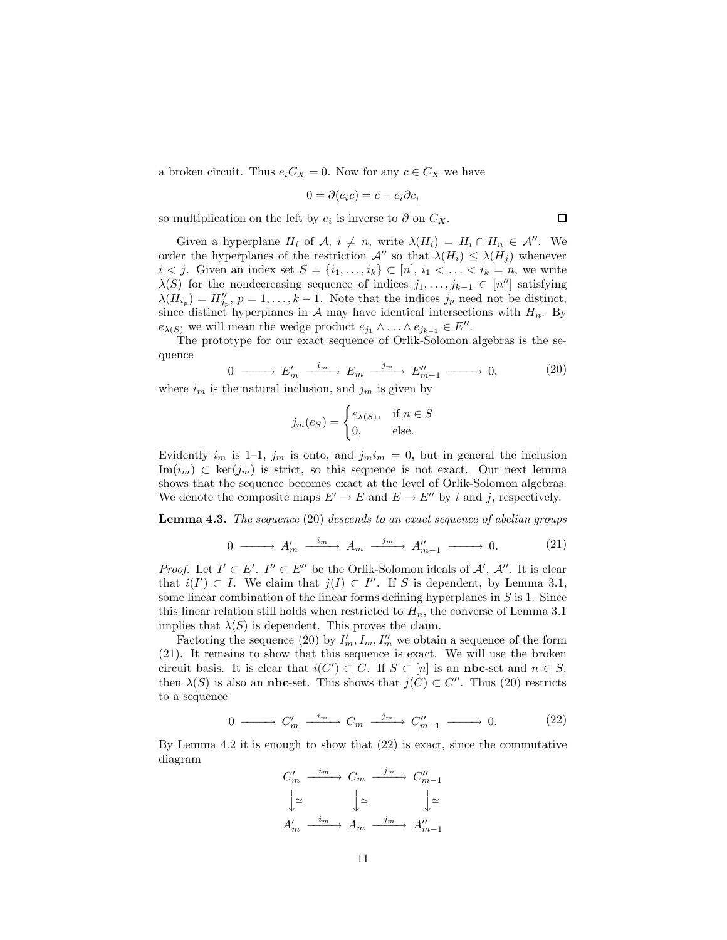a broken circuit. Thus  $e_iC_X = 0$ . Now for any  $c \in C_X$  we have

$$
0 = \partial(e_i c) = c - e_i \partial c,
$$

 $\Box$ 

so multiplication on the left by  $e_i$  is inverse to  $\partial$  on  $C_X$ .

Given a hyperplane  $H_i$  of  $\mathcal{A}, i \neq n$ , write  $\lambda(H_i) = H_i \cap H_n \in \mathcal{A}''$ . We order the hyperplanes of the restriction  $\mathcal{A}''$  so that  $\lambda(H_i) \leq \lambda(H_i)$  whenever  $i < j$ . Given an index set  $S = \{i_1, \ldots, i_k\} \subset [n], i_1 < \ldots < i_k = n$ , we write  $\lambda(S)$  for the nondecreasing sequence of indices  $j_1, \ldots, j_{k-1} \in [n'']$  satisfying  $\lambda(H_{i_p}) = H''_{j_p}, p = 1, \ldots, k-1$ . Note that the indices  $j_p$  need not be distinct, since distinct hyperplanes in  $A$  may have identical intersections with  $H_n$ . By  $e_{\lambda(S)}$  we will mean the wedge product  $e_{j_1} \wedge \ldots \wedge e_{j_{k-1}} \in E''$ .

The prototype for our exact sequence of Orlik-Solomon algebras is the sequence

$$
0 \longrightarrow E'_m \xrightarrow{i_m} E_m \xrightarrow{j_m} E''_{m-1} \longrightarrow 0,
$$
 (20)

where  $i_m$  is the natural inclusion, and  $j_m$  is given by

$$
j_m(e_S) = \begin{cases} e_{\lambda(S)}, & \text{if } n \in S \\ 0, & \text{else.} \end{cases}
$$

Evidently  $i_m$  is 1–1,  $j_m$  is onto, and  $j_m i_m = 0$ , but in general the inclusion Im $(i_m)$   $\subset$  ker $(j_m)$  is strict, so this sequence is not exact. Our next lemma shows that the sequence becomes exact at the level of Orlik-Solomon algebras. We denote the composite maps  $E' \to E$  and  $E \to E''$  by i and j, respectively.

**Lemma 4.3.** The sequence  $(20)$  descends to an exact sequence of abelian groups

$$
0 \longrightarrow A'_m \xrightarrow{i_m} A_m \xrightarrow{j_m} A''_{m-1} \longrightarrow 0. \tag{21}
$$

*Proof.* Let  $I' \subset E'$ .  $I'' \subset E''$  be the Orlik-Solomon ideals of A', A''. It is clear that  $i(I') \subset I$ . We claim that  $j(I) \subset I''$ . If S is dependent, by Lemma 3.1, some linear combination of the linear forms defining hyperplanes in  $S$  is 1. Since this linear relation still holds when restricted to  $H_n$ , the converse of Lemma 3.1 implies that  $\lambda(S)$  is dependent. This proves the claim.

Factoring the sequence (20) by  $I'_m, I_m, I''_m$  we obtain a sequence of the form (21). It remains to show that this sequence is exact. We will use the broken circuit basis. It is clear that  $i(C') \subset C$ . If  $S \subset [n]$  is an **nbc**-set and  $n \in S$ , then  $\lambda(S)$  is also an **nbc**-set. This shows that  $j(C) \subset C''$ . Thus (20) restricts to a sequence

$$
0 \longrightarrow C'_m \xrightarrow{i_m} C_m \xrightarrow{j_m} C''_{m-1} \longrightarrow 0. \tag{22}
$$

By Lemma 4.2 it is enough to show that (22) is exact, since the commutative diagram

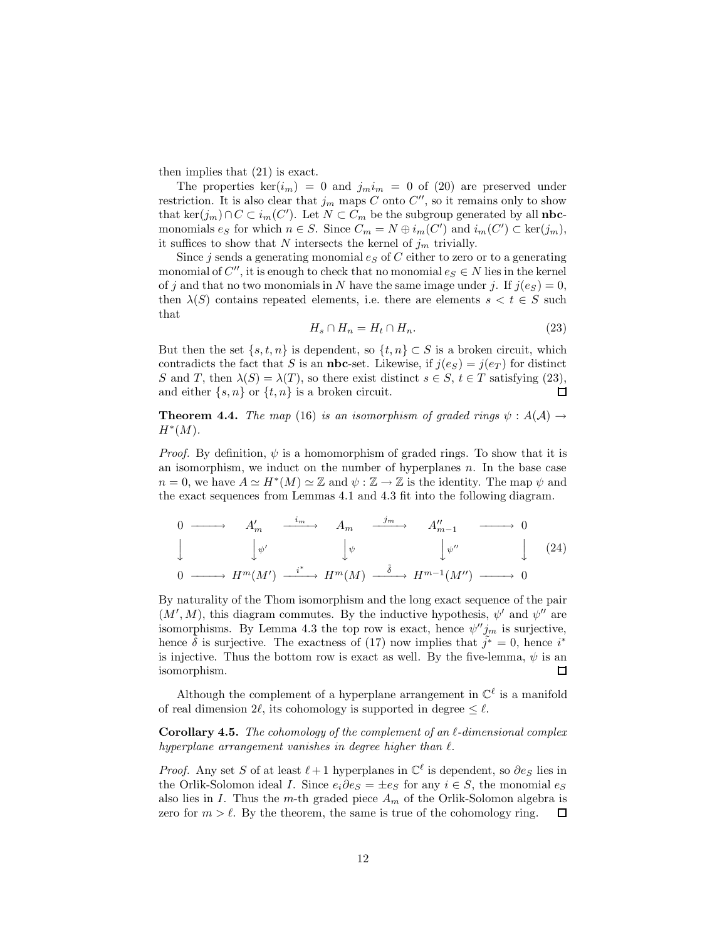then implies that (21) is exact.

The properties  $\ker(i_m) = 0$  and  $j_m i_m = 0$  of (20) are preserved under restriction. It is also clear that  $j_m$  maps C onto C'', so it remains only to show that ker $(j_m) \cap C \subset i_m(C')$ . Let  $N \subset C_m$  be the subgroup generated by all **nbc**monomials  $e_S$  for which  $n \in S$ . Since  $C_m = N \oplus i_m(C')$  and  $i_m(C') \subset \text{ker}(j_m)$ , it suffices to show that N intersects the kernel of  $j_m$  trivially.

Since j sends a generating monomial  $e_S$  of C either to zero or to a generating monomial of  $C''$ , it is enough to check that no monomial  $e_S \in N$  lies in the kernel of j and that no two monomials in N have the same image under j. If  $j(e_S) = 0$ , then  $\lambda(S)$  contains repeated elements, i.e. there are elements  $s < t \in S$  such that

$$
H_s \cap H_n = H_t \cap H_n. \tag{23}
$$

But then the set  $\{s, t, n\}$  is dependent, so  $\{t, n\} \subset S$  is a broken circuit, which contradicts the fact that S is an **nbc**-set. Likewise, if  $j(e_S) = j(e_T)$  for distinct S and T, then  $\lambda(S) = \lambda(T)$ , so there exist distinct  $s \in S$ ,  $t \in T$  satisfying (23), and either  $\{s, n\}$  or  $\{t, n\}$  is a broken circuit.  $\Box$ 

**Theorem 4.4.** The map (16) is an isomorphism of graded rings  $\psi : A(A) \rightarrow$  $H^*(M)$ .

*Proof.* By definition,  $\psi$  is a homomorphism of graded rings. To show that it is an isomorphism, we induct on the number of hyperplanes  $n$ . In the base case  $n = 0$ , we have  $A \simeq H^*(M) \simeq \mathbb{Z}$  and  $\psi : \mathbb{Z} \to \mathbb{Z}$  is the identity. The map  $\psi$  and the exact sequences from Lemmas 4.1 and 4.3 fit into the following diagram.

$$
\begin{array}{ccccccccc}\n0 & \xrightarrow{\hspace{1cm}} & A'_{m} & \xrightarrow{\hspace{1cm}} & A_{m} & \xrightarrow{\hspace{1cm}} & A''_{m-1} & \xrightarrow{\hspace{1cm}} & 0 \\
\downarrow & & \downarrow{\hspace{1cm}} & & \downarrow{\hspace{1cm}} & & \downarrow{\hspace{1cm}} & & \downarrow{\hspace{1cm}} & & \downarrow{\hspace{1cm}} & \\
0 & \xrightarrow{\hspace{1cm}} & H^{m}(M') & \xrightarrow{\hspace{1cm}} & H^{m}(M) & \xrightarrow{\delta} & H^{m-1}(M'') & \xrightarrow{\hspace{1cm}} & 0\n\end{array} \tag{24}
$$

By naturality of the Thom isomorphism and the long exact sequence of the pair  $(M', M)$ , this diagram commutes. By the inductive hypothesis,  $\psi'$  and  $\psi''$  are isomorphisms. By Lemma 4.3 the top row is exact, hence  $\psi''j_m$  is surjective, hence  $\tilde{\delta}$  is surjective. The exactness of (17) now implies that  $\tilde{j}^* = 0$ , hence  $i^*$ is injective. Thus the bottom row is exact as well. By the five-lemma,  $\psi$  is an isomorphism.  $\Box$ 

Although the complement of a hyperplane arrangement in  $\mathbb{C}^{\ell}$  is a manifold of real dimension  $2\ell$ , its cohomology is supported in degree  $\leq \ell$ .

**Corollary 4.5.** The cohomology of the complement of an  $\ell$ -dimensional complex hyperplane arrangement vanishes in degree higher than  $\ell$ .

*Proof.* Any set S of at least  $\ell + 1$  hyperplanes in  $\mathbb{C}^{\ell}$  is dependent, so  $\partial e_S$  lies in the Orlik-Solomon ideal I. Since  $e_i \partial e_S = \pm e_S$  for any  $i \in S$ , the monomial  $e_S$ also lies in I. Thus the m-th graded piece  $A_m$  of the Orlik-Solomon algebra is zero for  $m > l$ . By the theorem, the same is true of the cohomology ring.  $\Box$